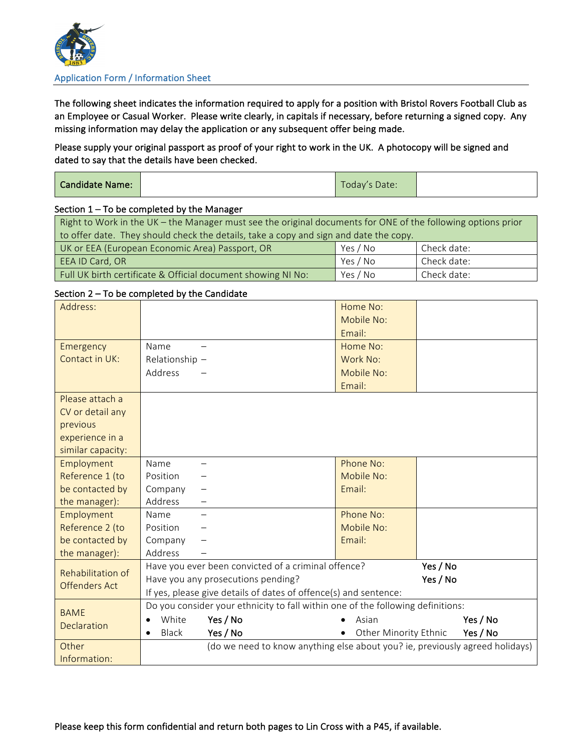

#### Application Form / Information Sheet

The following sheet indicates the information required to apply for a position with Bristol Rovers Football Club as an Employee or Casual Worker. Please write clearly, in capitals if necessary, before returning a signed copy. Any missing information may delay the application or any subsequent offer being made.

Please supply your original passport as proof of your right to work in the UK. A photocopy will be signed and dated to say that the details have been checked.

| Candidate Name: |  | $-$<br>Today's Date: |  |
|-----------------|--|----------------------|--|
|-----------------|--|----------------------|--|

#### Section  $1 - To$  be completed by the Manager

| Right to Work in the UK – the Manager must see the original documents for ONE of the following options prior |          |             |  |
|--------------------------------------------------------------------------------------------------------------|----------|-------------|--|
| to offer date. They should check the details, take a copy and sign and date the copy.                        |          |             |  |
| UK or EEA (European Economic Area) Passport, OR                                                              | Yes / No | Check date: |  |
| EEA ID Card, OR                                                                                              | Yes / No | Check date: |  |
| Yes / No<br>Check date:<br>Full UK birth certificate & Official document showing NI No:                      |          |             |  |

# Section  $2 - To$  be completed by the Candidate

| Address:             |                                                                                 | Home No:                     |          |
|----------------------|---------------------------------------------------------------------------------|------------------------------|----------|
|                      |                                                                                 | Mobile No:                   |          |
|                      |                                                                                 | Email:                       |          |
| Emergency            | Name                                                                            | Home No:                     |          |
| Contact in UK:       | Relationship -                                                                  | Work No:                     |          |
|                      | Address                                                                         | Mobile No:                   |          |
|                      |                                                                                 | Email:                       |          |
| Please attach a      |                                                                                 |                              |          |
| CV or detail any     |                                                                                 |                              |          |
| previous             |                                                                                 |                              |          |
| experience in a      |                                                                                 |                              |          |
| similar capacity:    |                                                                                 |                              |          |
| Employment           | Name<br>—                                                                       | Phone No:                    |          |
| Reference 1 (to      | Position                                                                        | Mobile No:                   |          |
| be contacted by      | Company                                                                         | Email:                       |          |
| the manager):        | Address                                                                         |                              |          |
| Employment           | Name                                                                            | Phone No:                    |          |
| Reference 2 (to      | Position                                                                        | Mobile No:                   |          |
| be contacted by      | Company                                                                         | Email:                       |          |
| the manager):        | Address                                                                         |                              |          |
| Rehabilitation of    | Have you ever been convicted of a criminal offence?                             |                              | Yes / No |
| <b>Offenders Act</b> | Have you any prosecutions pending?                                              |                              | Yes / No |
|                      | If yes, please give details of dates of offence(s) and sentence:                |                              |          |
| <b>BAME</b>          | Do you consider your ethnicity to fall within one of the following definitions: |                              |          |
| Declaration          | White<br>Yes / No<br>$\bullet$                                                  | Asian                        | Yes / No |
|                      | Yes / No<br><b>Black</b>                                                        | <b>Other Minority Ethnic</b> | Yes / No |
| Other                | (do we need to know anything else about you? ie, previously agreed holidays)    |                              |          |
| Information:         |                                                                                 |                              |          |